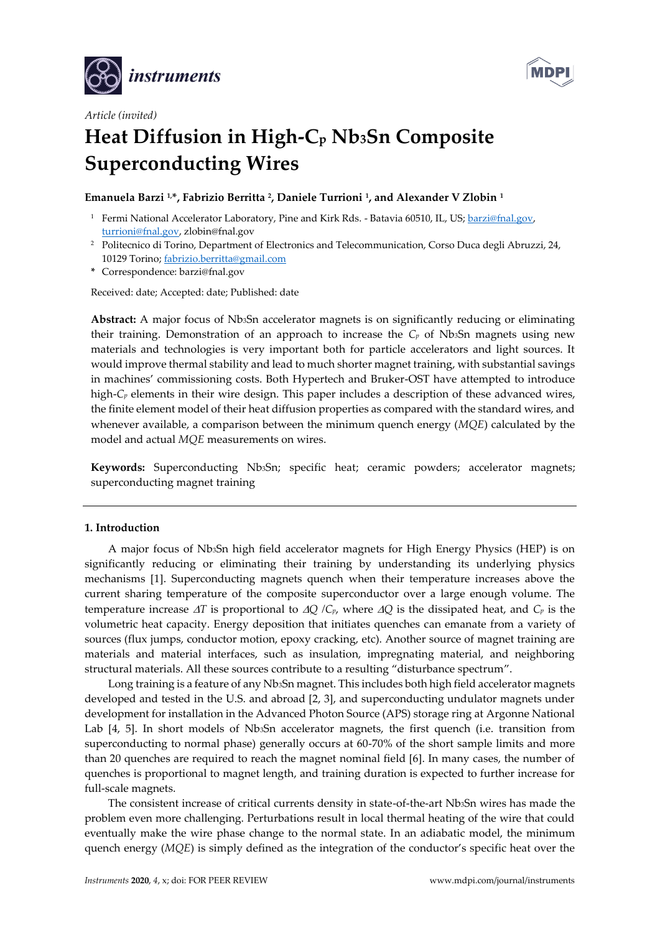



# *Article (invited)* **Heat Diffusion in High-C<sup>p</sup> Nb3Sn Composite Superconducting Wires**

# **Emanuela Barzi 1,\*, Fabrizio Berritta <sup>2</sup> , Daniele Turrioni <sup>1</sup> , and Alexander V Zlobin <sup>1</sup>**

- <sup>1</sup> Fermi National Accelerator Laboratory, Pine and Kirk Rds. Batavia 60510, IL, US; [barzi@fnal.gov,](mailto:barzi@fnal.gov) [turrioni@fnal.gov,](mailto:turrioni@fnal.gov) zlobin@fnal.gov
- <sup>2</sup> Politecnico di Torino, Department of Electronics and Telecommunication, Corso Duca degli Abruzzi, 24, 10129 Torino; [fabrizio.berritta@gmail.com](mailto:fabrizio.berritta@gmail.com)
- **\*** Correspondence: barzi@fnal.gov

Received: date; Accepted: date; Published: date

**Abstract:** A major focus of Nb3Sn accelerator magnets is on significantly reducing or eliminating their training. Demonstration of an approach to increase the  $C_p$  of Nb<sub>3</sub>Sn magnets using new materials and technologies is very important both for particle accelerators and light sources. It would improve thermal stability and lead to much shorter magnet training, with substantial savings in machines' commissioning costs. Both Hypertech and Bruker-OST have attempted to introduce high-*C<sup>p</sup>* elements in their wire design. This paper includes a description of these advanced wires, the finite element model of their heat diffusion properties as compared with the standard wires, and whenever available, a comparison between the minimum quench energy (*MQE*) calculated by the model and actual *MQE* measurements on wires.

**Keywords:** Superconducting Nb3Sn; specific heat; ceramic powders; accelerator magnets; superconducting magnet training

# **1. Introduction**

A major focus of Nb3Sn high field accelerator magnets for High Energy Physics (HEP) is on significantly reducing or eliminating their training by understanding its underlying physics mechanisms [1]. Superconducting magnets quench when their temperature increases above the current sharing temperature of the composite superconductor over a large enough volume. The temperature increase  $\Delta T$  is proportional to  $\Delta Q$  /C<sub>*p*</sub>, where  $\Delta Q$  is the dissipated heat, and C<sub>*p*</sub> is the volumetric heat capacity. Energy deposition that initiates quenches can emanate from a variety of sources (flux jumps, conductor motion, epoxy cracking, etc). Another source of magnet training are materials and material interfaces, such as insulation, impregnating material, and neighboring structural materials. All these sources contribute to a resulting "disturbance spectrum".

Long training is a feature of any Nb3Sn magnet. This includes both high field accelerator magnets developed and tested in the U.S. and abroad [2, 3], and superconducting undulator magnets under development for installation in the Advanced Photon Source (APS) storage ring at Argonne National Lab [4, 5]. In short models of Nb<sub>3</sub>Sn accelerator magnets, the first quench (i.e. transition from superconducting to normal phase) generally occurs at 60-70% of the short sample limits and more than 20 quenches are required to reach the magnet nominal field [6]. In many cases, the number of quenches is proportional to magnet length, and training duration is expected to further increase for full-scale magnets.

The consistent increase of critical currents density in state-of-the-art Nb3Sn wires has made the problem even more challenging. Perturbations result in local thermal heating of the wire that could eventually make the wire phase change to the normal state. In an adiabatic model, the minimum quench energy (*MQE*) is simply defined as the integration of the conductor's specific heat over the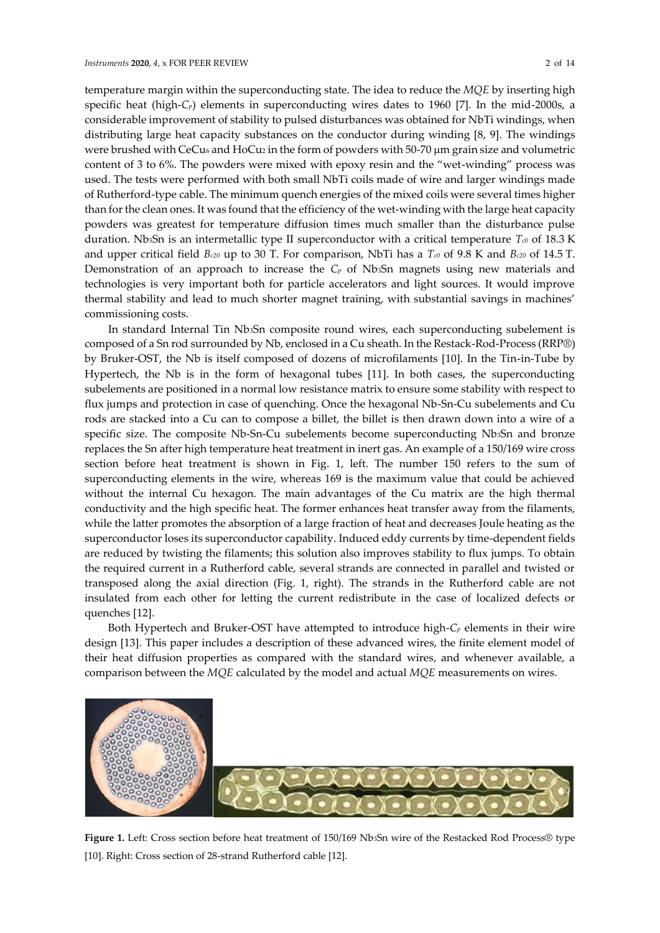temperature margin within the superconducting state. The idea to reduce the *MQE* by inserting high specific heat (high-*Cp*) elements in superconducting wires dates to 1960 [7]. In the mid-2000s, a considerable improvement of stability to pulsed disturbances was obtained for NbTi windings, when distributing large heat capacity substances on the conductor during winding [8, 9]. The windings were brushed with CeCu<sub>6</sub> and HoCu<sub>2</sub> in the form of powders with 50-70  $\mu$ m grain size and volumetric content of 3 to 6%. The powders were mixed with epoxy resin and the "wet-winding" process was used. The tests were performed with both small NbTi coils made of wire and larger windings made of Rutherford-type cable. The minimum quench energies of the mixed coils were several times higher than for the clean ones. It was found that the efficiency of the wet-winding with the large heat capacity powders was greatest for temperature diffusion times much smaller than the disturbance pulse duration. Nb3Sn is an intermetallic type II superconductor with a critical temperature *Tc0* of 18.3 K and upper critical field *Bc20* up to 30 T. For comparison, NbTi has a *Tc0* of 9.8 K and *Bc20* of 14.5 T. Demonstration of an approach to increase the *C<sup>p</sup>* of Nb3Sn magnets using new materials and technologies is very important both for particle accelerators and light sources. It would improve thermal stability and lead to much shorter magnet training, with substantial savings in machines' commissioning costs.

In standard Internal Tin Nb3Sn composite round wires, each superconducting subelement is composed of a Sn rod surrounded by Nb, enclosed in a Cu sheath. In the Restack-Rod-Process (RRP®) by Bruker-OST, the Nb is itself composed of dozens of microfilaments [10]. In the Tin-in-Tube by Hypertech, the Nb is in the form of hexagonal tubes [11]. In both cases, the superconducting subelements are positioned in a normal low resistance matrix to ensure some stability with respect to flux jumps and protection in case of quenching. Once the hexagonal Nb-Sn-Cu subelements and Cu rods are stacked into a Cu can to compose a billet, the billet is then drawn down into a wire of a specific size. The composite Nb-Sn-Cu subelements become superconducting Nb3Sn and bronze replaces the Sn after high temperature heat treatment in inert gas. An example of a 150/169 wire cross section before heat treatment is shown in Fig. 1, left. The number 150 refers to the sum of superconducting elements in the wire, whereas 169 is the maximum value that could be achieved without the internal Cu hexagon. The main advantages of the Cu matrix are the high thermal conductivity and the high specific heat. The former enhances heat transfer away from the filaments, while the latter promotes the absorption of a large fraction of heat and decreases Joule heating as the superconductor loses its superconductor capability. Induced eddy currents by time-dependent fields are reduced by twisting the filaments; this solution also improves stability to flux jumps. To obtain the required current in a Rutherford cable, several strands are connected in parallel and twisted or transposed along the axial direction (Fig. 1, right). The strands in the Rutherford cable are not insulated from each other for letting the current redistribute in the case of localized defects or quenches [12].

Both Hypertech and Bruker-OST have attempted to introduce high-*C<sup>p</sup>* elements in their wire design [13]. This paper includes a description of these advanced wires, the finite element model of their heat diffusion properties as compared with the standard wires, and whenever available, a comparison between the *MQE* calculated by the model and actual *MQE* measurements on wires.



**Figure 1.** Left: Cross section before heat treatment of 150/169 Nb3Sn wire of the Restacked Rod Process® type [10]. Right: Cross section of 28-strand Rutherford cable [12].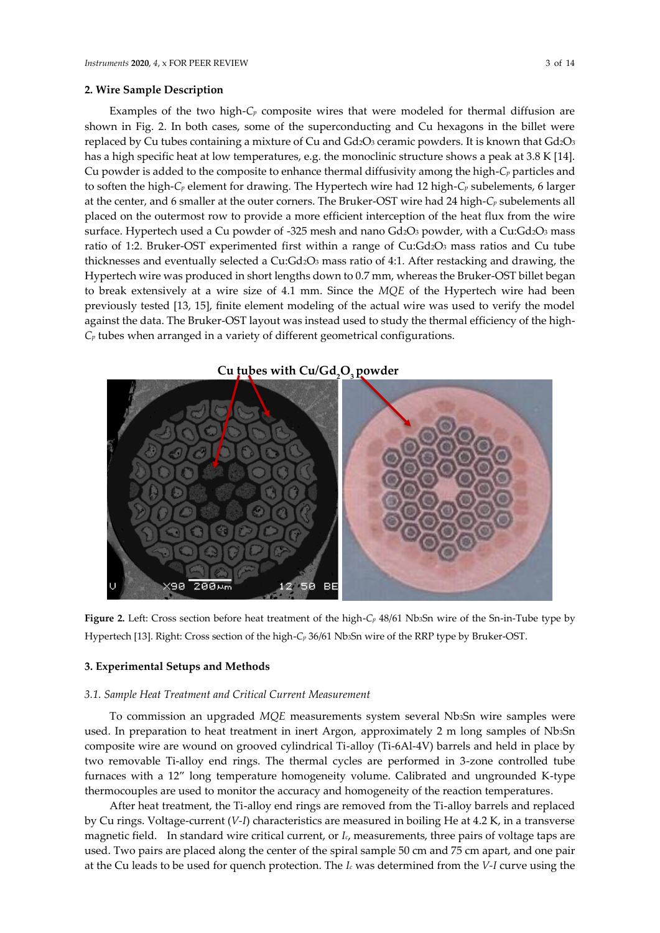Examples of the two high- $C_p$  composite wires that were modeled for thermal diffusion are shown in Fig. 2. In both cases, some of the superconducting and Cu hexagons in the billet were replaced by Cu tubes containing a mixture of Cu and Gd2O3 ceramic powders. It is known that Gd2O3 has a high specific heat at low temperatures, e.g. the monoclinic structure shows a peak at 3.8 K [14]. Cu powder is added to the composite to enhance thermal diffusivity among the high-*C<sup>p</sup>* particles and to soften the high-*C<sup>p</sup>* element for drawing. The Hypertech wire had 12 high-*C<sup>p</sup>* subelements, 6 larger at the center, and 6 smaller at the outer corners. The Bruker-OST wire had 24 high-*C<sup>p</sup>* subelements all placed on the outermost row to provide a more efficient interception of the heat flux from the wire surface. Hypertech used a Cu powder of -325 mesh and nano Gd2O3 powder, with a Cu:Gd2O3 mass ratio of 1:2. Bruker-OST experimented first within a range of Cu:Gd2O3 mass ratios and Cu tube thicknesses and eventually selected a  $Cu:Gd<sub>2</sub>O<sub>3</sub>$  mass ratio of 4:1. After restacking and drawing, the Hypertech wire was produced in short lengths down to 0.7 mm, whereas the Bruker-OST billet began to break extensively at a wire size of 4.1 mm. Since the *MQE* of the Hypertech wire had been previously tested [13, 15], finite element modeling of the actual wire was used to verify the model against the data. The Bruker-OST layout was instead used to study the thermal efficiency of the high-*C<sup>p</sup>* tubes when arranged in a variety of different geometrical configurations.

# **Cu tubes with Cu/Gd2O3 powderBE** 90 50

**Figure 2.** Left: Cross section before heat treatment of the high-*C<sup>p</sup>* 48/61 Nb3Sn wire of the Sn-in-Tube type by Hypertech [13]. Right: Cross section of the high-*C<sup>p</sup>* 36/61 Nb3Sn wire of the RRP type by Bruker-OST.

# **3. Experimental Setups and Methods**

# *3.1. Sample Heat Treatment and Critical Current Measurement*

To commission an upgraded *MQE* measurements system several Nb3Sn wire samples were used. In preparation to heat treatment in inert Argon, approximately 2 m long samples of Nb3Sn composite wire are wound on grooved cylindrical Ti-alloy (Ti-6Al-4V) barrels and held in place by two removable Ti-alloy end rings. The thermal cycles are performed in 3-zone controlled tube furnaces with a 12" long temperature homogeneity volume. Calibrated and ungrounded K-type thermocouples are used to monitor the accuracy and homogeneity of the reaction temperatures.

After heat treatment, the Ti-alloy end rings are removed from the Ti-alloy barrels and replaced by Cu rings. Voltage-current (*V-I*) characteristics are measured in boiling He at 4.2 K, in a transverse magnetic field. In standard wire critical current, or *Ic*, measurements, three pairs of voltage taps are used. Two pairs are placed along the center of the spiral sample 50 cm and 75 cm apart, and one pair at the Cu leads to be used for quench protection. The *I<sup>c</sup>* was determined from the *V-I* curve using the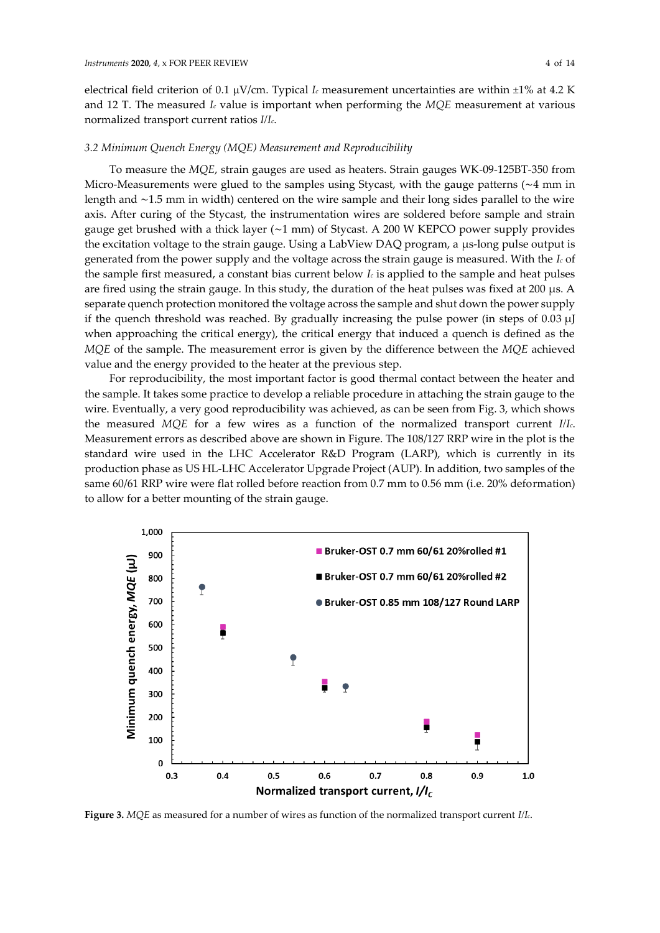electrical field criterion of 0.1 V/cm. Typical *I<sup>c</sup>* measurement uncertainties are within ±1% at 4.2 K and 12 T. The measured *I<sup>c</sup>* value is important when performing the *MQE* measurement at various normalized transport current ratios *I/Ic*.

#### *3.2 Minimum Quench Energy (MQE) Measurement and Reproducibility*

To measure the *MQE*, strain gauges are used as heaters. Strain gauges WK-09-125BT-350 from Micro-Measurements were glued to the samples using Stycast, with the gauge patterns (∼4 mm in length and ∼1.5 mm in width) centered on the wire sample and their long sides parallel to the wire axis. After curing of the Stycast, the instrumentation wires are soldered before sample and strain gauge get brushed with a thick layer (∼1 mm) of Stycast. A 200 W KEPCO power supply provides the excitation voltage to the strain gauge. Using a LabView DAQ program, a μs-long pulse output is generated from the power supply and the voltage across the strain gauge is measured. With the *I<sup>c</sup>* of the sample first measured, a constant bias current below *I<sup>c</sup>* is applied to the sample and heat pulses are fired using the strain gauge. In this study, the duration of the heat pulses was fixed at 200 μs. A separate quench protection monitored the voltage across the sample and shut down the power supply if the quench threshold was reached. By gradually increasing the pulse power (in steps of  $0.03 \mu$ ) when approaching the critical energy), the critical energy that induced a quench is defined as the *MQE* of the sample. The measurement error is given by the difference between the *MQE* achieved value and the energy provided to the heater at the previous step.

For reproducibility, the most important factor is good thermal contact between the heater and the sample. It takes some practice to develop a reliable procedure in attaching the strain gauge to the wire. Eventually, a very good reproducibility was achieved, as can be seen from Fig. 3, which shows the measured *MQE* for a few wires as a function of the normalized transport current *I/Ic*. Measurement errors as described above are shown in Figure. The 108/127 RRP wire in the plot is the standard wire used in the LHC Accelerator R&D Program (LARP), which is currently in its production phase as US HL-LHC Accelerator Upgrade Project (AUP). In addition, two samples of the same 60/61 RRP wire were flat rolled before reaction from 0.7 mm to 0.56 mm (i.e. 20% deformation) to allow for a better mounting of the strain gauge.



**Figure 3.** *MQE* as measured for a number of wires as function of the normalized transport current *I/Ic*.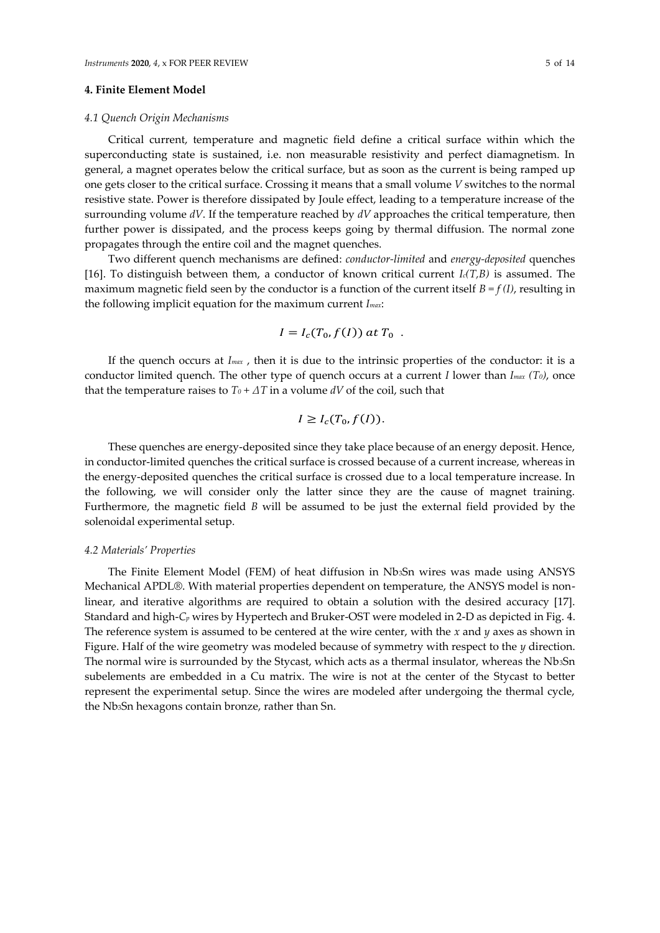# **4. Finite Element Model**

#### *4.1 Quench Origin Mechanisms*

Critical current, temperature and magnetic field define a critical surface within which the superconducting state is sustained, i.e. non measurable resistivity and perfect diamagnetism. In general, a magnet operates below the critical surface, but as soon as the current is being ramped up one gets closer to the critical surface. Crossing it means that a small volume *V* switches to the normal resistive state. Power is therefore dissipated by Joule effect, leading to a temperature increase of the surrounding volume *dV*. If the temperature reached by *dV* approaches the critical temperature, then further power is dissipated, and the process keeps going by thermal diffusion. The normal zone propagates through the entire coil and the magnet quenches.

Two different quench mechanisms are defined: *conductor-limited* and *energy-deposited* quenches [16]. To distinguish between them, a conductor of known critical current *Ic(T,B)* is assumed. The maximum magnetic field seen by the conductor is a function of the current itself  $B = f(I)$ , resulting in the following implicit equation for the maximum current *Imax*:

$$
I = I_c(T_0, f(I)) \text{ at } T_0.
$$

If the quench occurs at *Imax* , then it is due to the intrinsic properties of the conductor: it is a conductor limited quench. The other type of quench occurs at a current *I* lower than *Imax (T0)*, once that the temperature raises to  $T_0 + \Delta T$  in a volume  $dV$  of the coil, such that

$$
I \geq I_c(T_0, f(I)).
$$

These quenches are energy-deposited since they take place because of an energy deposit. Hence, in conductor-limited quenches the critical surface is crossed because of a current increase, whereas in the energy-deposited quenches the critical surface is crossed due to a local temperature increase. In the following, we will consider only the latter since they are the cause of magnet training. Furthermore, the magnetic field *B* will be assumed to be just the external field provided by the solenoidal experimental setup.

#### *4.2 Materials' Properties*

The Finite Element Model (FEM) of heat diffusion in Nb3Sn wires was made using ANSYS Mechanical APDL®. With material properties dependent on temperature, the ANSYS model is nonlinear, and iterative algorithms are required to obtain a solution with the desired accuracy [17]. Standard and high-*C<sup>p</sup>* wires by Hypertech and Bruker-OST were modeled in 2-D as depicted in Fig. 4. The reference system is assumed to be centered at the wire center, with the *x* and *y* axes as shown in Figure. Half of the wire geometry was modeled because of symmetry with respect to the *y* direction. The normal wire is surrounded by the Stycast, which acts as a thermal insulator, whereas the Nb<sub>3</sub>Sn subelements are embedded in a Cu matrix. The wire is not at the center of the Stycast to better represent the experimental setup. Since the wires are modeled after undergoing the thermal cycle, the Nb3Sn hexagons contain bronze, rather than Sn.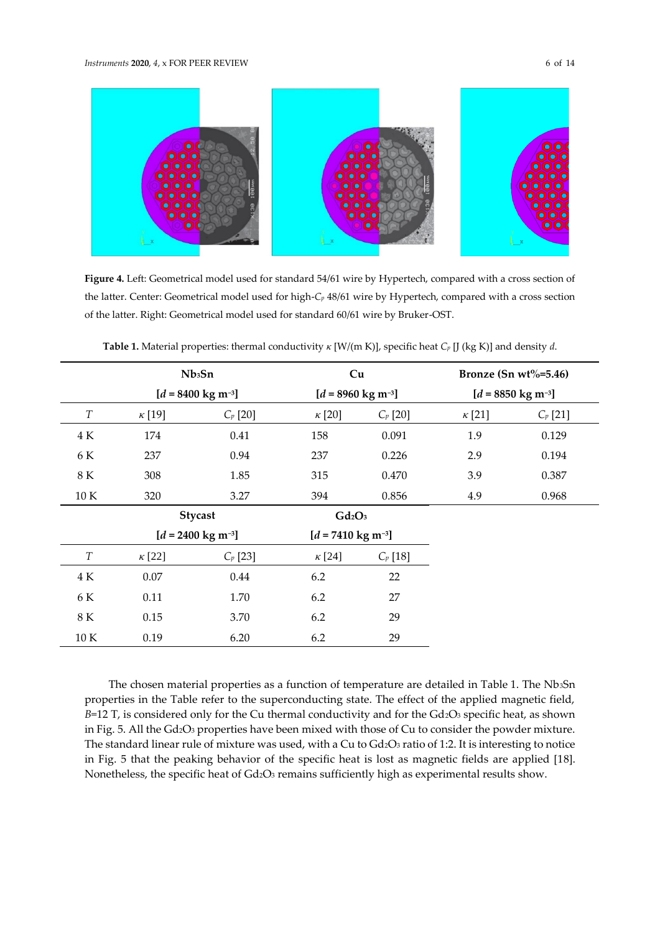

**Figure 4.** Left: Geometrical model used for standard 54/61 wire by Hypertech, compared with a cross section of the latter. Center: Geometrical model used for high-*C<sup>p</sup>* 48/61 wire by Hypertech, compared with a cross section of the latter. Right: Geometrical model used for standard 60/61 wire by Bruker-OST.

|                  |               | Nb <sub>3</sub> Sn             | Cu                             |            |               | Bronze (Sn wt%=5.46)           |
|------------------|---------------|--------------------------------|--------------------------------|------------|---------------|--------------------------------|
|                  |               | $[d = 8400 \text{ kg m}^{-3}]$ | $[d = 8960 \text{ kg m}^{-3}]$ |            |               | $[d = 8850 \text{ kg m}^{-3}]$ |
| $\boldsymbol{T}$ | $\kappa$ [19] | $C_p$ [20]                     | $\kappa$ [20]                  | $C_p$ [20] | $\kappa$ [21] | $C_p$ [21]                     |
| 4 K              | 174           | 0.41                           | 158                            | 0.091      | 1.9           | 0.129                          |
| 6 K              | 237           | 0.94                           | 237                            | 0.226      | 2.9           | 0.194                          |
| 8 K              | 308           | 1.85                           | 315                            | 0.470      | 3.9           | 0.387                          |
| 10 K             | 320           | 3.27                           | 394                            | 0.856      | 4.9           | 0.968                          |
|                  |               | <b>Stycast</b>                 | $Gd_2O_3$                      |            |               |                                |
|                  |               | $[d = 2400 \text{ kg m}^{-3}]$ | $[d = 7410 \text{ kg m}^{-3}]$ |            |               |                                |
| $\boldsymbol{T}$ | $\kappa$ [22] | $C_p$ [23]                     | $\kappa$ [24]                  | $C_p$ [18] |               |                                |
| 4 K              | 0.07          | 0.44                           | 6.2                            | 22         |               |                                |
| 6 K              | 0.11          | 1.70                           | 6.2                            | 27         |               |                                |
| $8\ {\rm K}$     | 0.15          | 3.70                           | 6.2                            | 29         |               |                                |
| 10 K             | 0.19          | 6.20                           | 6.2                            | 29         |               |                                |

**Table 1.** Material properties: thermal conductivity *κ* [W/(m K)], specific heat *C<sup>p</sup>* [J (kg K)] and density *d*.

The chosen material properties as a function of temperature are detailed in Table 1. The Nb3Sn properties in the Table refer to the superconducting state. The effect of the applied magnetic field, *B*=12 T, is considered only for the Cu thermal conductivity and for the Gd<sub>2</sub>O<sub>3</sub> specific heat, as shown in Fig. 5. All the Gd2O3 properties have been mixed with those of Cu to consider the powder mixture. The standard linear rule of mixture was used, with a Cu to Gd2O3 ratio of 1:2. It is interesting to notice in Fig. 5 that the peaking behavior of the specific heat is lost as magnetic fields are applied [18]. Nonetheless, the specific heat of Gd2O3 remains sufficiently high as experimental results show.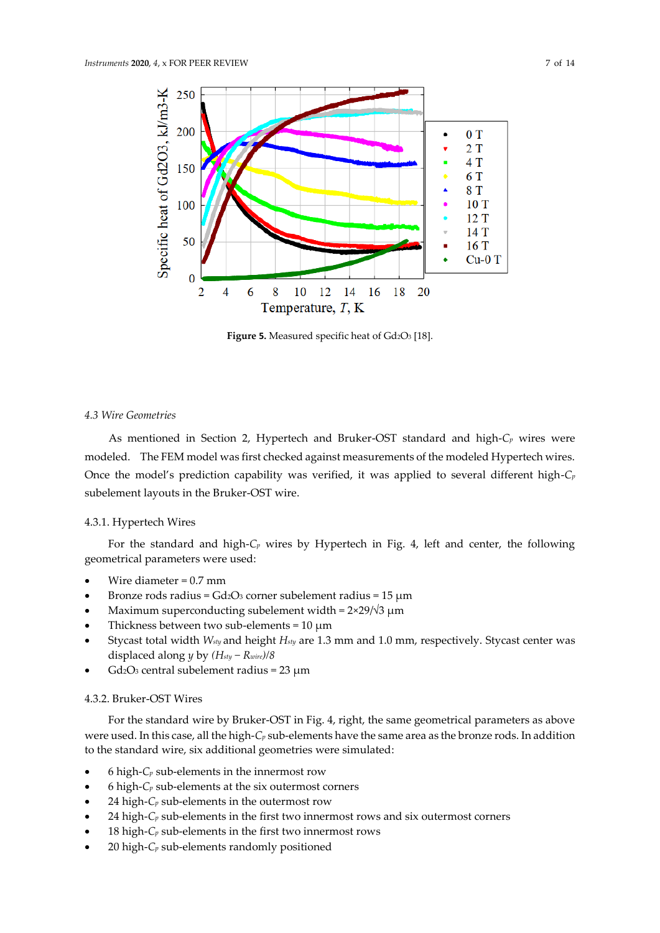

**Figure 5.** Measured specific heat of Gd2O<sup>3</sup> [18].

# *4.3 Wire Geometries*

As mentioned in Section 2, Hypertech and Bruker-OST standard and high-*C<sup>p</sup>* wires were modeled. The FEM model was first checked against measurements of the modeled Hypertech wires. Once the model's prediction capability was verified, it was applied to several different high-*C<sup>p</sup>* subelement layouts in the Bruker-OST wire.

### 4.3.1. Hypertech Wires

For the standard and high-*C<sup>p</sup>* wires by Hypertech in Fig. 4, left and center, the following geometrical parameters were used:

- Wire diameter  $= 0.7$  mm
- Bronze rods radius =  $Gd_2O_3$  corner subelement radius = 15  $\mu$ m
- Maximum superconducting subelement width =  $2×29$ / $\sqrt{3}$  μm
- Thickness between two sub-elements =  $10 \mu m$
- Stycast total width *Wsty* and height *Hsty* are 1.3 mm and 1.0 mm, respectively. Stycast center was displaced along *y* by *(Hsty − Rwire)/8*
- $Gd_2O_3$  central subelement radius = 23  $\mu$ m

# 4.3.2. Bruker-OST Wires

For the standard wire by Bruker-OST in Fig. 4, right, the same geometrical parameters as above were used. In this case, all the high-*C<sup>p</sup>* sub-elements have the same area as the bronze rods. In addition to the standard wire, six additional geometries were simulated:

- 6 high- $C_p$  sub-elements in the innermost row
- 6 high-*C<sup>p</sup>* sub-elements at the six outermost corners
- 24 high- $C_p$  sub-elements in the outermost row
- 24 high- $C_p$  sub-elements in the first two innermost rows and six outermost corners
- 18 high- $C_p$  sub-elements in the first two innermost rows
- 20 high-*C<sup>p</sup>* sub-elements randomly positioned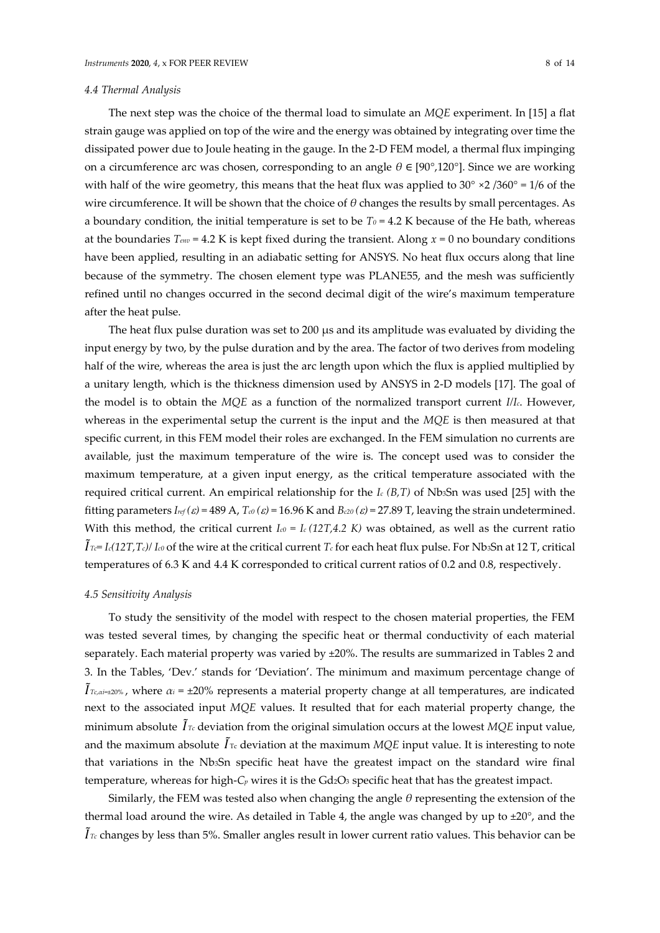#### *4.4 Thermal Analysis*

The next step was the choice of the thermal load to simulate an *MQE* experiment. In [15] a flat strain gauge was applied on top of the wire and the energy was obtained by integrating over time the dissipated power due to Joule heating in the gauge. In the 2-D FEM model, a thermal flux impinging on a circumference arc was chosen, corresponding to an angle *θ* ∈ [90°,120°]. Since we are working with half of the wire geometry, this means that the heat flux was applied to  $30^{\circ} \times 2 /360^{\circ} = 1/6$  of the wire circumference. It will be shown that the choice of *θ* changes the results by small percentages. As a boundary condition, the initial temperature is set to be  $T_0$  = 4.2 K because of the He bath, whereas at the boundaries *Tenv* = 4.2 K is kept fixed during the transient. Along *x* = 0 no boundary conditions have been applied, resulting in an adiabatic setting for ANSYS. No heat flux occurs along that line because of the symmetry. The chosen element type was PLANE55, and the mesh was sufficiently refined until no changes occurred in the second decimal digit of the wire's maximum temperature after the heat pulse.

The heat flux pulse duration was set to 200 µs and its amplitude was evaluated by dividing the input energy by two, by the pulse duration and by the area. The factor of two derives from modeling half of the wire, whereas the area is just the arc length upon which the flux is applied multiplied by a unitary length, which is the thickness dimension used by ANSYS in 2-D models [17]. The goal of the model is to obtain the *MQE* as a function of the normalized transport current *I/Ic*. However, whereas in the experimental setup the current is the input and the *MQE* is then measured at that specific current, in this FEM model their roles are exchanged. In the FEM simulation no currents are available, just the maximum temperature of the wire is. The concept used was to consider the maximum temperature, at a given input energy, as the critical temperature associated with the required critical current. An empirical relationship for the *I<sup>c</sup> (B,T)* of Nb3Sn was used [25] with the fitting parameters  $I_{ref}(\varepsilon) = 489$  A,  $T_{c0}(\varepsilon) = 16.96$  K and  $B_{c20}(\varepsilon) = 27.89$  T, leaving the strain undetermined. With this method, the critical current  $I_{c0} = I_c (12T, 4.2 K)$  was obtained, as well as the current ratio  $\tilde{I}$ *Tc*= *Ic*(12T,*Tc)*/ *Ic0* of the wire at the critical current *T<sub>c</sub>* for each heat flux pulse. For Nb3Sn at 12 T, critical temperatures of 6.3 K and 4.4 K corresponded to critical current ratios of 0.2 and 0.8, respectively.

#### *4.5 Sensitivity Analysis*

To study the sensitivity of the model with respect to the chosen material properties, the FEM was tested several times, by changing the specific heat or thermal conductivity of each material separately. Each material property was varied by ±20%. The results are summarized in Tables 2 and 3. In the Tables, 'Dev.' stands for 'Deviation'. The minimum and maximum percentage change of  $\tilde{I}_{Tc, \alpha i \neq 20\%}$ , where  $\alpha_i = \pm 20\%$  represents a material property change at all temperatures, are indicated next to the associated input *MQE* values. It resulted that for each material property change, the minimum absolute  $\tilde{I}_{\textit{Tc}}$  deviation from the original simulation occurs at the lowest MQE input value, and the maximum absolute  $\tilde{I}_{\text{Te}}$  deviation at the maximum  $MQE$  input value. It is interesting to note that variations in the Nb3Sn specific heat have the greatest impact on the standard wire final temperature, whereas for high-C<sub>*p*</sub> wires it is the Gd<sub>2</sub>O<sub>3</sub> specific heat that has the greatest impact.

Similarly, the FEM was tested also when changing the angle *θ* representing the extension of the thermal load around the wire. As detailed in Table 4, the angle was changed by up to ±20°, and the  $\tilde{I}$ <sub>*Tc*</sub> changes by less than 5%. Smaller angles result in lower current ratio values. This behavior can be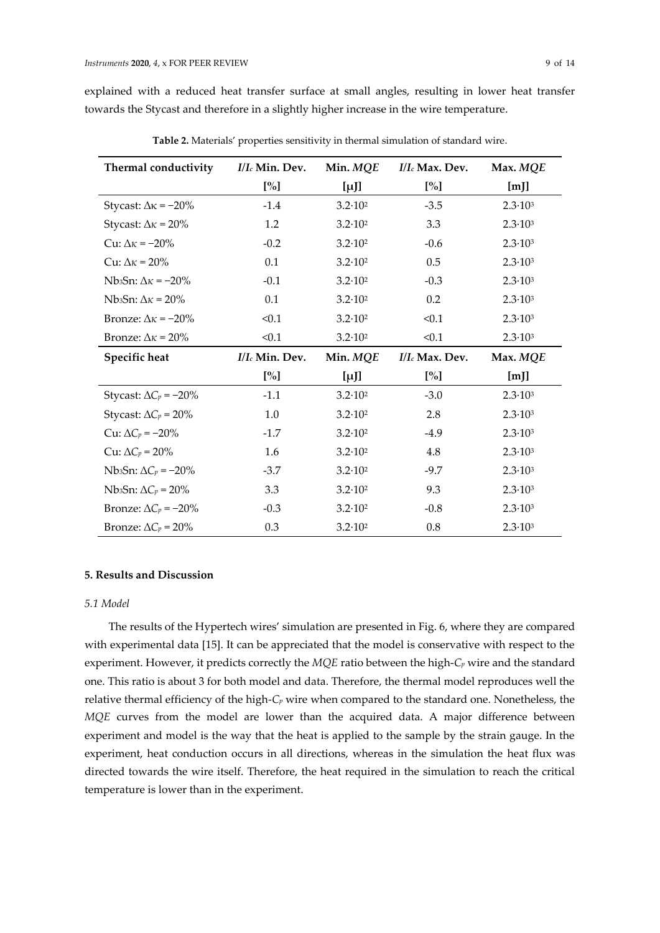explained with a reduced heat transfer surface at small angles, resulting in lower heat transfer towards the Stycast and therefore in a slightly higher increase in the wire temperature.

| Thermal conductivity                       | I/I <sub>c</sub> Min. Dev. | Min. MQE           | I/I <sub>c</sub> Max. Dev. | Max. MQE           |
|--------------------------------------------|----------------------------|--------------------|----------------------------|--------------------|
|                                            | $[\%]$                     | $[\mu]$            | $[\%]$                     | [m]                |
| Stycast: $\Delta \kappa = -20\%$           | $-1.4$                     | $3.2 \cdot 10^{2}$ | $-3.5$                     | $2.3 \cdot 10^{3}$ |
| Stycast: $\Delta \kappa = 20\%$            | 1.2                        | $3.2 \cdot 10^{2}$ | 3.3                        | $2.3 \cdot 10^{3}$ |
| Cu: $\Delta \kappa = -20\%$                | $-0.2$                     | $3.2 \cdot 10^{2}$ | $-0.6$                     | $2.3 \cdot 10^{3}$ |
| Cu: $\Delta \kappa = 20\%$                 | 0.1                        | $3.2 \cdot 10^{2}$ | 0.5                        | $2.3 \cdot 10^{3}$ |
| Nb <sub>3</sub> Sn: $\Delta \kappa$ = -20% | $-0.1$                     | $3.2 \cdot 10^{2}$ | $-0.3$                     | $2.3 \cdot 10^{3}$ |
| Nb <sub>3</sub> Sn: $\Delta \kappa = 20\%$ | 0.1                        | $3.2 \cdot 10^{2}$ | 0.2                        | $2.3 \cdot 10^{3}$ |
| Bronze: $\Delta \kappa = -20\%$            | < 0.1                      | $3.2 \cdot 10^2$   | < 0.1                      | $2.3 \cdot 10^3$   |
| Bronze: $\Delta \kappa = 20\%$             | < 0.1                      | $3.2 \cdot 10^{2}$ | < 0.1                      | $2.3 \cdot 10^{3}$ |
| Specific heat                              | I/I <sub>c</sub> Min. Dev. | Min. MQE           | I/I <sub>c</sub> Max. Dev. | Max. MQE           |
|                                            | $[\%]$                     | $[\mu]$            | $[\%]$                     | [m]                |
| Stycast: $\Delta C_p = -20\%$              | $-1.1$                     | $3.2 \cdot 10^2$   | $-3.0$                     | $2.3 \cdot 10^{3}$ |
| Stycast: $\Delta C_p = 20\%$               | 1.0                        | $3.2 \cdot 10^2$   | 2.8                        | $2.3 \cdot 10^{3}$ |
| Cu: $\Delta C_p = -20\%$                   | $-1.7$                     | $3.2 \cdot 10^{2}$ | $-4.9$                     | $2.3 \cdot 10^{3}$ |
| Cu: $\Delta C_p = 20\%$                    | 1.6                        | $3.2 \cdot 10^{2}$ | 4.8                        | $2.3 \cdot 10^{3}$ |
| Nb <sub>3</sub> Sn: $\Delta C_p = -20\%$   | $-3.7$                     | $3.2 \cdot 10^2$   | $-9.7$                     | $2.3 \cdot 10^{3}$ |
| Nb <sub>3</sub> Sn: $\Delta C_p$ = 20%     | 3.3                        | $3.2 \cdot 10^2$   | 9.3                        | $2.3 \cdot 10^{3}$ |
| Bronze: $\Delta C_p = -20\%$               | $-0.3$                     | $3.2 \cdot 10^{2}$ | $-0.8$                     | $2.3 \cdot 10^{3}$ |
|                                            |                            |                    |                            |                    |

**Table 2.** Materials' properties sensitivity in thermal simulation of standard wire.

# **5. Results and Discussion**

# *5.1 Model*

The results of the Hypertech wires' simulation are presented in Fig. 6, where they are compared with experimental data [15]. It can be appreciated that the model is conservative with respect to the experiment. However, it predicts correctly the *MQE* ratio between the high-*C<sup>p</sup>* wire and the standard one. This ratio is about 3 for both model and data. Therefore, the thermal model reproduces well the relative thermal efficiency of the high-*C<sup>p</sup>* wire when compared to the standard one. Nonetheless, the *MQE* curves from the model are lower than the acquired data. A major difference between experiment and model is the way that the heat is applied to the sample by the strain gauge. In the experiment, heat conduction occurs in all directions, whereas in the simulation the heat flux was directed towards the wire itself. Therefore, the heat required in the simulation to reach the critical temperature is lower than in the experiment.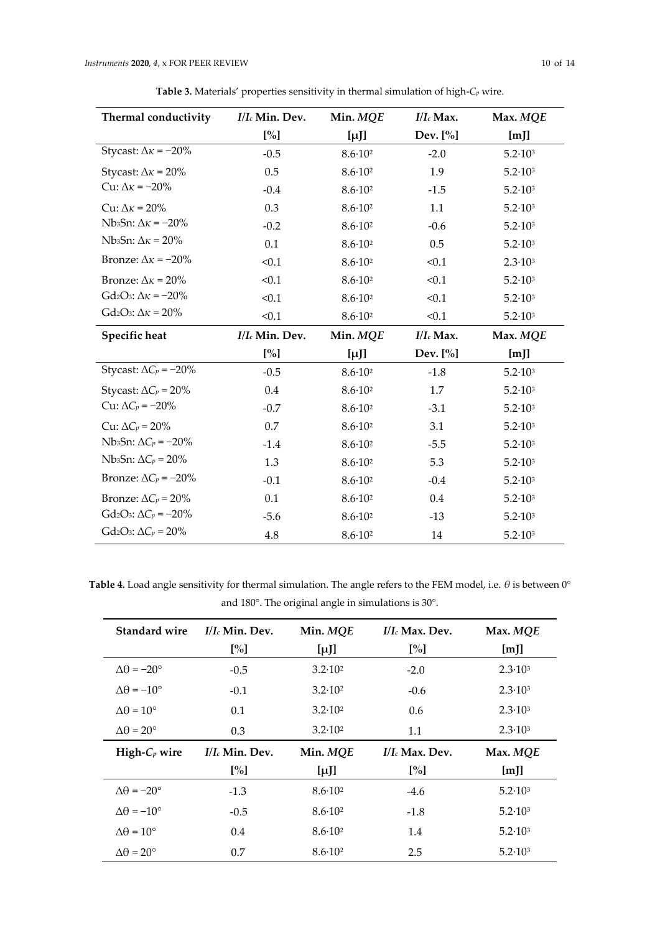| <b>Thermal conductivity</b>                              | I/I <sub>c</sub> Min. Dev. | Min. MQE           | $I/I_c$ Max. | Max. MQE           |
|----------------------------------------------------------|----------------------------|--------------------|--------------|--------------------|
|                                                          | $[\%]$                     | $[\mu]$            | Dev. $[\%]$  | [m]                |
| Stycast: $\Delta \kappa = -20\%$                         | $-0.5$                     | $8.6 \cdot 10^{2}$ | $-2.0$       | $5.2 \cdot 10^{3}$ |
| Stycast: $\Delta \kappa = 20\%$                          | 0.5                        | $8.6 \cdot 10^{2}$ | 1.9          | $5.2 \cdot 10^{3}$ |
| Cu: $\Delta \kappa = -20\%$                              | $-0.4$                     | $8.6 \cdot 10^{2}$ | $-1.5$       | $5.2 \cdot 10^3$   |
| Cu: $\Delta \kappa = 20\%$                               | 0.3                        | $8.6 \cdot 10^{2}$ | 1.1          | $5.2 \cdot 10^{3}$ |
| Nb3Sn: $\Delta \kappa = -20\%$                           | $-0.2$                     | $8.6 \cdot 10^{2}$ | $-0.6$       | $5.2 \cdot 10^3$   |
| Nb3Sn: $\Delta \kappa$ = 20%                             | 0.1                        | $8.6 \cdot 10^{2}$ | 0.5          | $5.2 \cdot 10^3$   |
| Bronze: $\Delta \kappa = -20\%$                          | < 0.1                      | $8.6 \cdot 10^{2}$ | < 0.1        | $2.3 \cdot 10^{3}$ |
| Bronze: $\Delta \kappa = 20\%$                           | < 0.1                      | $8.6 \cdot 10^{2}$ | < 0.1        | $5.2 \cdot 10^3$   |
| Gd <sub>2</sub> O <sub>3</sub> : $\Delta \kappa = -20\%$ | < 0.1                      | $8.6 \cdot 10^{2}$ | < 0.1        | $5.2 \cdot 10^3$   |
| Gd <sub>2</sub> O <sub>3</sub> : $\Delta \kappa = 20\%$  | < 0.1                      | 86.102             | $<$ 1        | 52.103             |

**Table 3.** Materials' properties sensitivity in thermal simulation of high-*C<sup>p</sup>* wire.

| DIUILLE: $\Delta K = 207$                                | SU.I              | $0.010^{-}$        | $\sim$ U.I   | $0.2 \cdot 10^{\circ}$ |  |
|----------------------------------------------------------|-------------------|--------------------|--------------|------------------------|--|
| Gd <sub>2</sub> O <sub>3</sub> : $\Delta \kappa = -20\%$ | < 0.1             | $8.6 \cdot 10^{2}$ | < 0.1        | $5.2 \cdot 10^3$       |  |
| Gd <sub>2</sub> O <sub>3</sub> : $\Delta \kappa = 20\%$  | < 0.1             | $8.6 \cdot 10^{2}$ | < 0.1        | $5.2 \cdot 10^3$       |  |
| Specific heat                                            | $I/I_c$ Min. Dev. | Min. MQE           | $I/I_c$ Max. | Max. MQE               |  |
|                                                          | $[\%]$            | $[\mu]$            | Dev. $[\%]$  | [m]                    |  |
| Stycast: $\Delta C_p = -20\%$                            | $-0.5$            | $8.6 \cdot 10^{2}$ | $-1.8$       | $5.2 \cdot 10^3$       |  |
| Stycast: $\Delta C_p = 20\%$                             | $0.4\,$           | $8.6 \cdot 10^{2}$ | 1.7          | $5.2 \cdot 10^3$       |  |
| Cu: $\Delta C_p = -20\%$                                 | $-0.7$            | $8.6 \cdot 10^{2}$ | $-3.1$       | $5.2 \cdot 10^3$       |  |
| Cu: $\Delta C_p = 20\%$                                  | 0.7               | $8.6 \cdot 10^{2}$ | 3.1          | $5.2 \cdot 10^3$       |  |
| Nb <sub>3</sub> Sn: $\Delta C_p = -20\%$                 | $-1.4$            | $8.6 \cdot 10^{2}$ | $-5.5$       | $5.2 \cdot 10^3$       |  |
| Nb <sub>3</sub> Sn: $\Delta C_p$ = 20%                   | 1.3               | $8.6 \cdot 10^{2}$ | 5.3          | $5.2 \cdot 10^3$       |  |
| Bronze: $\Delta C_p = -20\%$                             | $-0.1$            | $8.6 \cdot 10^{2}$ | $-0.4$       | $5.2 \cdot 10^3$       |  |
| Bronze: $\Delta C_p = 20\%$                              | 0.1               | $8.6 \cdot 10^{2}$ | 0.4          | $5.2 \cdot 10^3$       |  |
| Gd <sub>2</sub> O <sub>3</sub> : $\Delta C_p = -20\%$    | $-5.6$            | $8.6 \cdot 10^{2}$ | $-13$        | $5.2 \cdot 10^3$       |  |
| Gd <sub>2</sub> O <sub>3</sub> : $\Delta C_p = 20\%$     | 4.8               | $8.6 \cdot 10^{2}$ | 14           | $5.2 \cdot 10^3$       |  |

**Table 4.** Load angle sensitivity for thermal simulation. The angle refers to the FEM model, i.e. *θ* is between 0° and 180°. The original angle in simulations is 30°.

| <b>Standard wire</b>         | $I/I_c$ Min. Dev. | Min. MQE           | $I/I_c$ Max. Dev. | Max. MQE           |
|------------------------------|-------------------|--------------------|-------------------|--------------------|
|                              | $[\%]$            | $[\mu]$            | $[\%]$            | [m]                |
| $\Delta\theta = -20^{\circ}$ | $-0.5$            | $3.2 \cdot 10^2$   | $-2.0$            | $2.3 \cdot 10^{3}$ |
| $\Delta\theta = -10^{\circ}$ | $-0.1$            | $3.2 \cdot 10^2$   | $-0.6$            | $2.3 \cdot 10^{3}$ |
| $\Delta\theta = 10^{\circ}$  | 0.1               | $3.2 \cdot 10^2$   | 0.6               | $2.3 \cdot 10^{3}$ |
| $\Delta\theta = 20^{\circ}$  | 0.3               | $3.2 \cdot 10^2$   | 1.1               | $2.3 \cdot 10^{3}$ |
| High- $C_p$ wire             |                   |                    |                   |                    |
|                              | $I/I_c$ Min. Dev. | Min. MQE           | $I/I_c$ Max. Dev. | Max. MQE           |
|                              | [%]               | $[\mu]$            | [%]               | [m]                |
| $\Delta\theta = -20^{\circ}$ | $-1.3$            | $8.6 \cdot 10^{2}$ | $-4.6$            | $5.2 \cdot 10^3$   |
| $\Delta\theta = -10^{\circ}$ | $-0.5$            | $8.6 \cdot 10^{2}$ | $-1.8$            | $5.2 \cdot 10^3$   |
| $\Delta\theta = 10^{\circ}$  | 0.4               | $8.6 \cdot 10^{2}$ | 1.4               | $5.2 \cdot 10^3$   |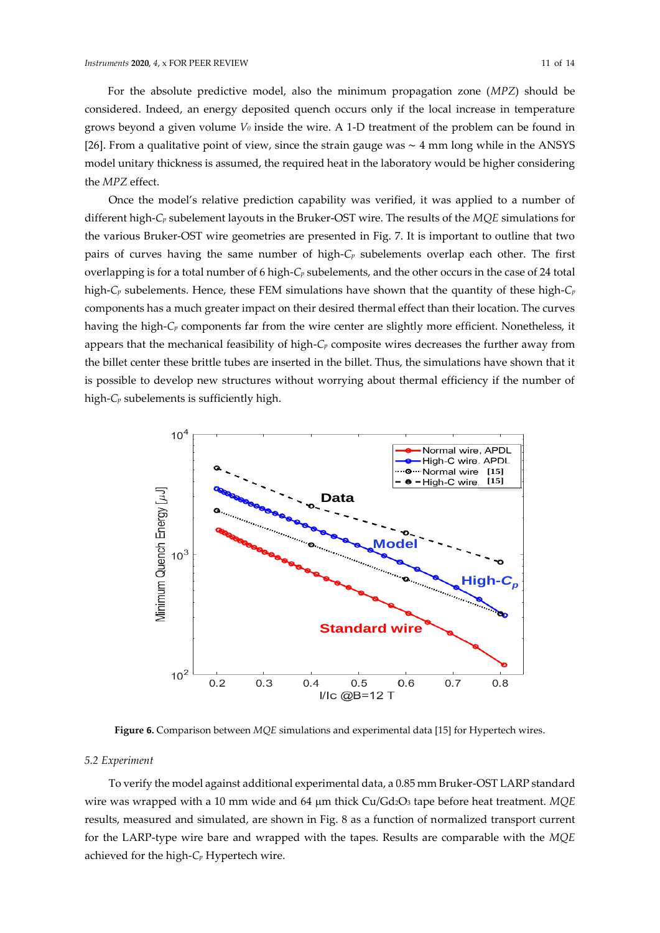For the absolute predictive model, also the minimum propagation zone (*MPZ*) should be considered. Indeed, an energy deposited quench occurs only if the local increase in temperature grows beyond a given volume *V<sup>0</sup>* inside the wire. A 1-D treatment of the problem can be found in [26]. From a qualitative point of view, since the strain gauge was ∼ 4 mm long while in the ANSYS model unitary thickness is assumed, the required heat in the laboratory would be higher considering the *MPZ* effect.

Once the model's relative prediction capability was verified, it was applied to a number of different high-*C<sup>p</sup>* subelement layouts in the Bruker-OST wire. The results of the *MQE* simulations for the various Bruker-OST wire geometries are presented in Fig. 7. It is important to outline that two pairs of curves having the same number of high-*C<sup>p</sup>* subelements overlap each other. The first overlapping is for a total number of 6 high-*C<sup>p</sup>* subelements, and the other occurs in the case of 24 total high-*C<sup>p</sup>* subelements. Hence, these FEM simulations have shown that the quantity of these high-*C<sup>p</sup>* components has a much greater impact on their desired thermal effect than their location. The curves having the high-*C<sup>p</sup>* components far from the wire center are slightly more efficient. Nonetheless, it appears that the mechanical feasibility of high-*C<sup>p</sup>* composite wires decreases the further away from the billet center these brittle tubes are inserted in the billet. Thus, the simulations have shown that it is possible to develop new structures without worrying about thermal efficiency if the number of high-*C<sup>p</sup>* subelements is sufficiently high.



**Figure 6.** Comparison between *MQE* simulations and experimental data [15] for Hypertech wires.

## *5.2 Experiment*

To verify the model against additional experimental data, a 0.85 mm Bruker-OST LARP standard wire was wrapped with a 10 mm wide and 64 µm thick Cu/Gd2O<sub>3</sub> tape before heat treatment. *MQE* results, measured and simulated, are shown in Fig. 8 as a function of normalized transport current for the LARP-type wire bare and wrapped with the tapes. Results are comparable with the *MQE* achieved for the high-*C<sup>p</sup>* Hypertech wire.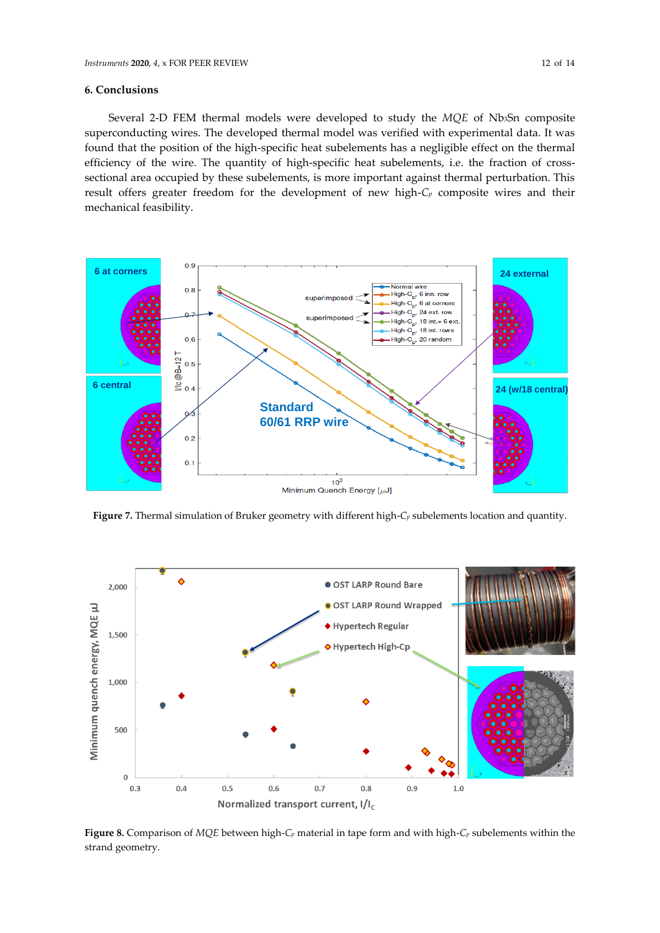Several 2-D FEM thermal models were developed to study the *MQE* of Nb3Sn composite superconducting wires. The developed thermal model was verified with experimental data. It was found that the position of the high-specific heat subelements has a negligible effect on the thermal efficiency of the wire. The quantity of high-specific heat subelements, i.e. the fraction of crosssectional area occupied by these subelements, is more important against thermal perturbation. This result offers greater freedom for the development of new high-*C<sup>p</sup>* composite wires and their mechanical feasibility.



**Figure 7.** Thermal simulation of Bruker geometry with different high-*C<sup>p</sup>* subelements location and quantity.



**Figure 8.** Comparison of *MQE* between high-*C<sup>p</sup>* material in tape form and with high-*C<sup>p</sup>* subelements within the strand geometry.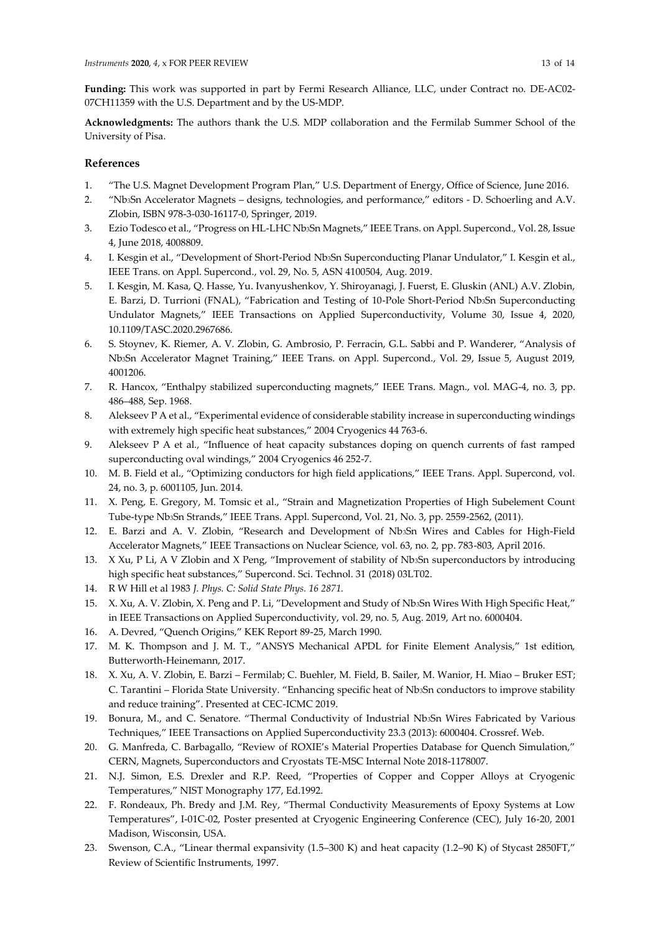**Funding:** This work was supported in part by Fermi Research Alliance, LLC, under Contract no. DE-AC02- 07CH11359 with the U.S. Department and by the US-MDP.

**Acknowledgments:** The authors thank the U.S. MDP collaboration and the Fermilab Summer School of the University of Pisa.

# **References**

- 1. "The U.S. Magnet Development Program Plan," U.S. Department of Energy, Office of Science, June 2016.
- 2. "Nb3Sn Accelerator Magnets designs, technologies, and performance," editors D. Schoerling and A.V. Zlobin, ISBN 978-3-030-16117-0, Springer, 2019.
- 3. Ezio Todesco et al., "Progress on HL-LHC Nb3Sn Magnets," IEEE Trans. on Appl. Supercond., Vol. 28, Issue 4, June 2018, 4008809.
- 4. I. Kesgin et al., "Development of Short-Period Nb3Sn Superconducting Planar Undulator," I. Kesgin et al., IEEE Trans. on Appl. Supercond., vol. 29, No. 5, ASN 4100504, Aug. 2019.
- 5. I. Kesgin, M. Kasa, Q. Hasse, Yu. Ivanyushenkov, Y. Shiroyanagi, J. Fuerst, E. Gluskin (ANL) A.V. Zlobin, E. Barzi, D. Turrioni (FNAL), "Fabrication and Testing of 10-Pole Short-Period Nb3Sn Superconducting Undulator Magnets," IEEE Transactions on Applied Superconductivity, Volume 30, Issue 4, 2020, 10.1109/TASC.2020.2967686.
- 6. S. Stoynev, K. Riemer, A. V. Zlobin, G. Ambrosio, P. Ferracin, G.L. Sabbi and P. Wanderer, "Analysis of Nb3Sn Accelerator Magnet Training," IEEE Trans. on Appl. Supercond., Vol. 29, Issue 5, August 2019, 4001206.
- 7. R. Hancox, "Enthalpy stabilized superconducting magnets," IEEE Trans. Magn., vol. MAG-4, no. 3, pp. 486–488, Sep. 1968.
- 8. Alekseev P A et al., "Experimental evidence of considerable stability increase in superconducting windings with extremely high specific heat substances," 2004 Cryogenics 44 763-6.
- 9. Alekseev P A et al., "Influence of heat capacity substances doping on quench currents of fast ramped superconducting oval windings," 2004 Cryogenics 46 252-7.
- 10. M. B. Field et al., "Optimizing conductors for high field applications," IEEE Trans. Appl. Supercond, vol. 24, no. 3, p. 6001105, Jun. 2014.
- 11. X. Peng, E. Gregory, M. Tomsic et al., "Strain and Magnetization Properties of High Subelement Count Tube-type Nb3Sn Strands," IEEE Trans. Appl. Supercond, Vol. 21, No. 3, pp. 2559-2562, (2011).
- 12. E. Barzi and A. V. Zlobin, "Research and Development of Nb3Sn Wires and Cables for High-Field Accelerator Magnets," IEEE Transactions on Nuclear Science, vol. 63, no. 2, pp. 783-803, April 2016.
- 13. X Xu, P Li, A V Zlobin and X Peng, "Improvement of stability of Nb3Sn superconductors by introducing high specific heat substances," Supercond. Sci. Technol. 31 (2018) 03LT02.
- 14. R W Hill et al 1983 *J. Phys. C: Solid State Phys. 16 2871.*
- 15. X. Xu, A. V. Zlobin, X. Peng and P. Li, "Development and Study of Nb3Sn Wires With High Specific Heat," in IEEE Transactions on Applied Superconductivity, vol. 29, no. 5, Aug. 2019, Art no. 6000404.
- 16. A. Devred, "Quench Origins," KEK Report 89-25, March 1990.
- 17. M. K. Thompson and J. M. T., "ANSYS Mechanical APDL for Finite Element Analysis," 1st edition, Butterworth-Heinemann, 2017.
- 18. X. Xu, A. V. Zlobin, E. Barzi Fermilab; C. Buehler, M. Field, B. Sailer, M. Wanior, H. Miao Bruker EST; C. Tarantini – Florida State University. "Enhancing specific heat of Nb3Sn conductors to improve stability and reduce training". Presented at CEC-ICMC 2019.
- 19. Bonura, M., and C. Senatore. "Thermal Conductivity of Industrial Nb3Sn Wires Fabricated by Various Techniques," IEEE Transactions on Applied Superconductivity 23.3 (2013): 6000404. Crossref. Web.
- 20. G. Manfreda, C. Barbagallo, "Review of ROXIE's Material Properties Database for Quench Simulation," CERN, Magnets, Superconductors and Cryostats TE-MSC Internal Note 2018-1178007.
- 21. N.J. Simon, E.S. Drexler and R.P. Reed, "Properties of Copper and Copper Alloys at Cryogenic Temperatures," NIST Monography 177, Ed.1992.
- 22. F. Rondeaux, Ph. Bredy and J.M. Rey, "Thermal Conductivity Measurements of Epoxy Systems at Low Temperatures", I-01C-02, Poster presented at Cryogenic Engineering Conference (CEC), July 16-20, 2001 Madison, Wisconsin, USA.
- 23. Swenson, C.A., "Linear thermal expansivity (1.5–300 K) and heat capacity (1.2–90 K) of Stycast 2850FT," Review of Scientific Instruments, 1997.